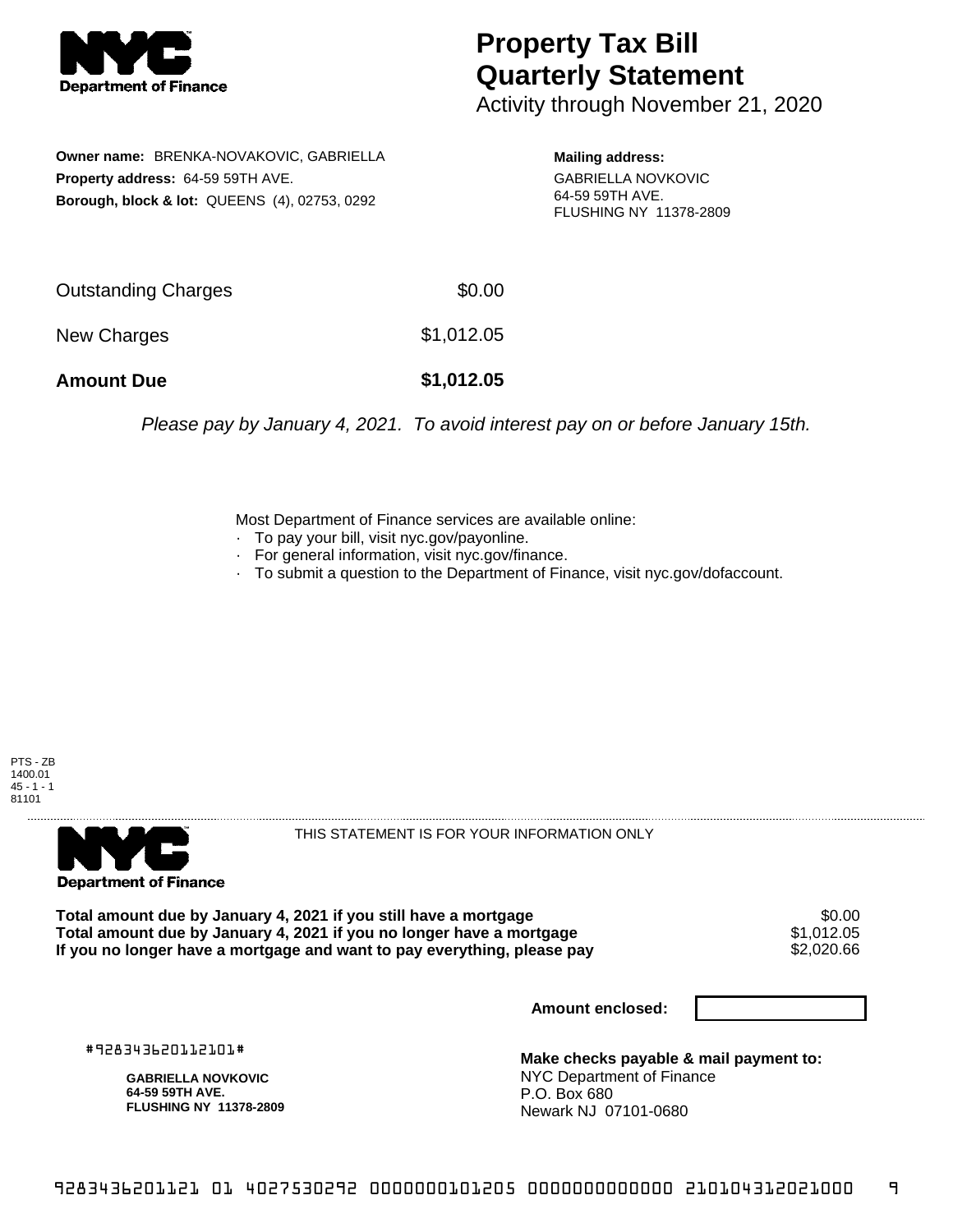

## **Property Tax Bill Quarterly Statement**

Activity through November 21, 2020

**Owner name:** BRENKA-NOVAKOVIC, GABRIELLA **Property address:** 64-59 59TH AVE. **Borough, block & lot:** QUEENS (4), 02753, 0292

**Mailing address:** GABRIELLA NOVKOVIC 64-59 59TH AVE. FLUSHING NY 11378-2809

| <b>Amount Due</b>   | \$1,012.05 |
|---------------------|------------|
| New Charges         | \$1,012.05 |
| Outstanding Charges | \$0.00     |

Please pay by January 4, 2021. To avoid interest pay on or before January 15th.

Most Department of Finance services are available online:

- · To pay your bill, visit nyc.gov/payonline.
- For general information, visit nyc.gov/finance.
- · To submit a question to the Department of Finance, visit nyc.gov/dofaccount.





THIS STATEMENT IS FOR YOUR INFORMATION ONLY

Total amount due by January 4, 2021 if you still have a mortgage \$0.00<br>Total amount due by January 4, 2021 if you no longer have a mortgage \$1.012.05 **Total amount due by January 4, 2021 if you no longer have a mortgage**  $$1,012.05$ **<br>If you no longer have a mortgage and want to pay everything, please pay**  $$2,020.66$ If you no longer have a mortgage and want to pay everything, please pay

**Amount enclosed:**

#928343620112101#

**GABRIELLA NOVKOVIC 64-59 59TH AVE. FLUSHING NY 11378-2809**

**Make checks payable & mail payment to:** NYC Department of Finance P.O. Box 680 Newark NJ 07101-0680